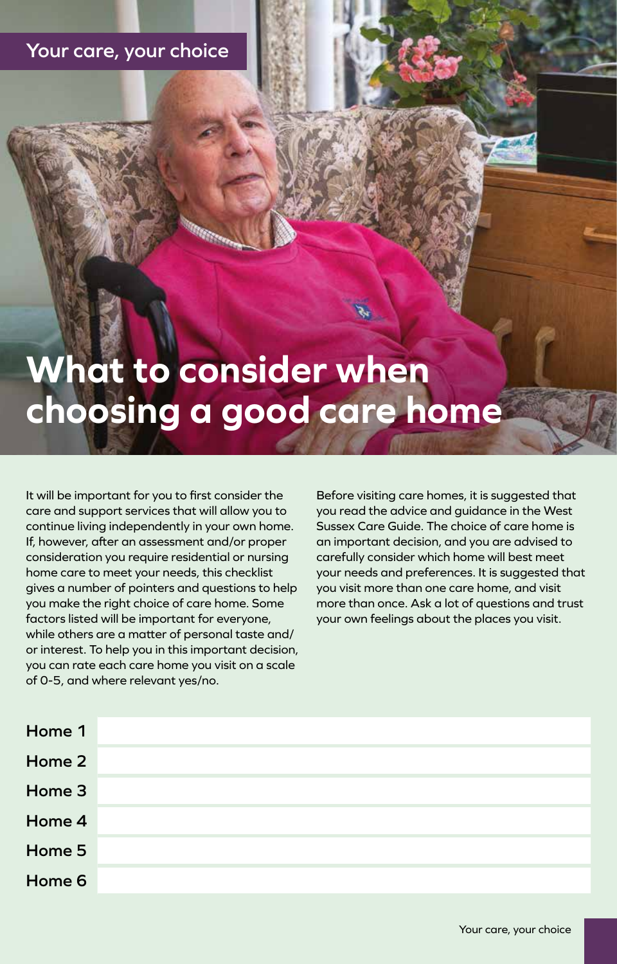## **Your care, your choice**

# **What to consider when choosing a good care home**

It will be important for you to first consider the care and support services that will allow you to continue living independently in your own home. If, however, after an assessment and/or proper consideration you require residential or nursing home care to meet your needs, this checklist gives a number of pointers and questions to help you make the right choice of care home. Some factors listed will be important for everyone, while others are a matter of personal taste and/ or interest. To help you in this important decision, you can rate each care home you visit on a scale of 0-5, and where relevant yes/no.

Before visiting care homes, it is suggested that you read the advice and guidance in the West Sussex Care Guide. The choice of care home is an important decision, and you are advised to carefully consider which home will best meet your needs and preferences. It is suggested that you visit more than one care home, and visit more than once. Ask a lot of questions and trust your own feelings about the places you visit.

| Home 1 |  |
|--------|--|
| Home 2 |  |
| Home 3 |  |
| Home 4 |  |
| Home 5 |  |
| Home 6 |  |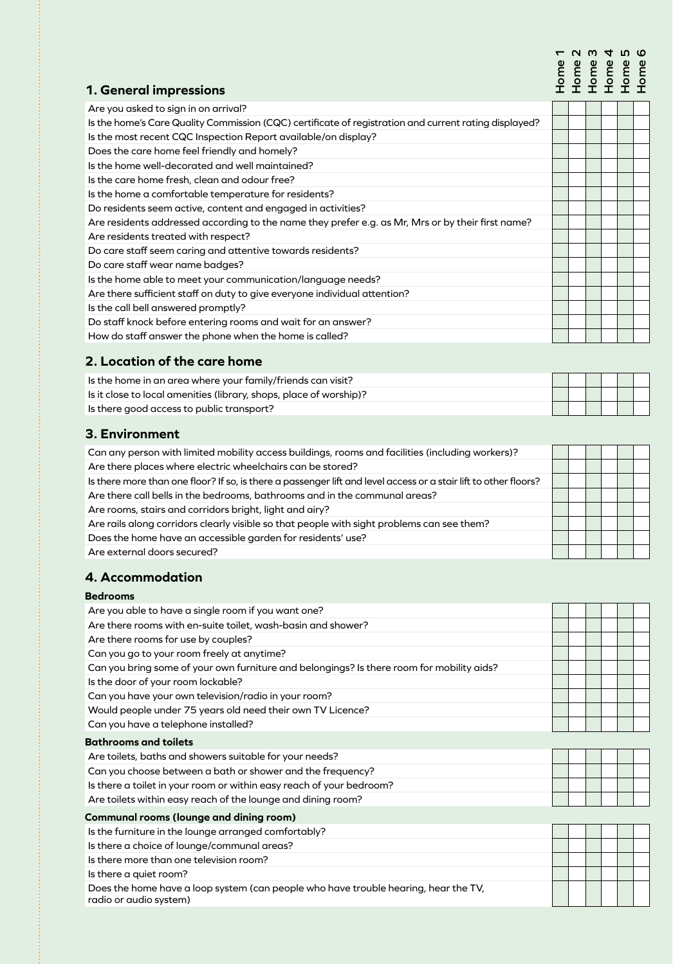# **Home 1 Home 2 Home 3 Home 4 Home 5 Home 6**

#### **1. General impressions**

| Are you asked to sign in on arrival?                                                                  |  |  |  |
|-------------------------------------------------------------------------------------------------------|--|--|--|
| Is the home's Care Quality Commission (CQC) certificate of registration and current rating displayed? |  |  |  |
| Is the most recent CQC Inspection Report available/on display?                                        |  |  |  |
| Does the care home feel friendly and homely?                                                          |  |  |  |
| Is the home well-decorated and well maintained?                                                       |  |  |  |
| Is the care home fresh, clean and odour free?                                                         |  |  |  |
| Is the home a comfortable temperature for residents?                                                  |  |  |  |
| Do residents seem active, content and engaged in activities?                                          |  |  |  |
| Are residents addressed according to the name they prefer e.g. as Mr, Mrs or by their first name?     |  |  |  |
| Are residents treated with respect?                                                                   |  |  |  |
| Do care staff seem caring and attentive towards residents?                                            |  |  |  |
| Do care staff wear name badges?                                                                       |  |  |  |
| Is the home able to meet your communication/language needs?                                           |  |  |  |
| Are there sufficient staff on duty to give everyone individual attention?                             |  |  |  |
| Is the call bell answered promptly?                                                                   |  |  |  |
| Do staff knock before entering rooms and wait for an answer?                                          |  |  |  |
| How do staff answer the phone when the home is called?                                                |  |  |  |
|                                                                                                       |  |  |  |

#### **2. Location of the care home**

| Is the home in an area where your family/friends can visit?        |  |  |  |
|--------------------------------------------------------------------|--|--|--|
| Is it close to local amenities (library, shops, place of worship)? |  |  |  |
| $\blacksquare$ Is there good access to public transport?           |  |  |  |

#### **3. Environment**

| Can any person with limited mobility access buildings, rooms and facilities (including workers)?                 |  |  |  |
|------------------------------------------------------------------------------------------------------------------|--|--|--|
| Are there places where electric wheelchairs can be stored?                                                       |  |  |  |
| Is there more than one floor? If so, is there a passenger lift and level access or a stair lift to other floors? |  |  |  |
| Are there call bells in the bedrooms, bathrooms and in the communal areas?                                       |  |  |  |
| Are rooms, stairs and corridors bright, light and airy?                                                          |  |  |  |
| Are rails along corridors clearly visible so that people with sight problems can see them?                       |  |  |  |
| Does the home have an accessible garden for residents' use?                                                      |  |  |  |
| Are external doors secured?                                                                                      |  |  |  |

#### **4. Accommodation**

#### **Bedrooms**

| Are you able to have a single room if you want one?                                                           |  |  |  |
|---------------------------------------------------------------------------------------------------------------|--|--|--|
| Are there rooms with en-suite toilet, wash-basin and shower?                                                  |  |  |  |
| Are there rooms for use by couples?                                                                           |  |  |  |
| Can you go to your room freely at anytime?                                                                    |  |  |  |
| Can you bring some of your own furniture and belongings? Is there room for mobility aids?                     |  |  |  |
| Is the door of your room lockable?                                                                            |  |  |  |
| Can you have your own television/radio in your room?                                                          |  |  |  |
| Would people under 75 years old need their own TV Licence?                                                    |  |  |  |
| Can you have a telephone installed?                                                                           |  |  |  |
| <b>Bathrooms and toilets</b>                                                                                  |  |  |  |
| Are toilets, baths and showers suitable for your needs?                                                       |  |  |  |
| Can you choose between a bath or shower and the frequency?                                                    |  |  |  |
| Is there a toilet in your room or within easy reach of your bedroom?                                          |  |  |  |
| Are toilets within easy reach of the lounge and dining room?                                                  |  |  |  |
| <b>Communal rooms (lounge and dining room)</b>                                                                |  |  |  |
| Is the furniture in the lounge arranged comfortably?                                                          |  |  |  |
| Is there a choice of lounge/communal areas?                                                                   |  |  |  |
| Is there more than one television room?                                                                       |  |  |  |
| Is there a quiet room?                                                                                        |  |  |  |
| Does the home have a loop system (can people who have trouble hearing, hear the TV,<br>radio or audio system) |  |  |  |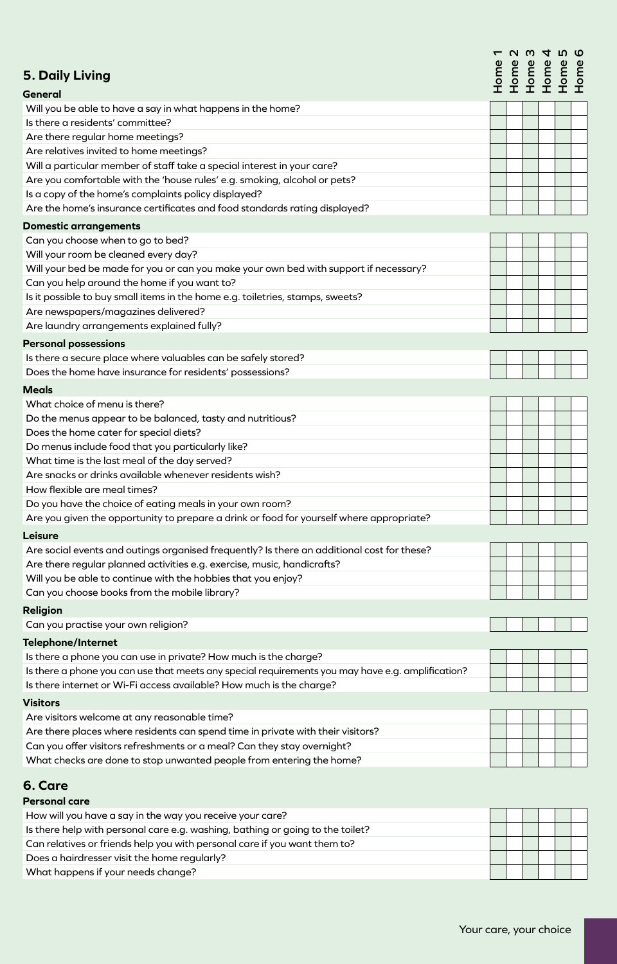|                                                                                                   | ᠇    |  | <b>UW4NO</b>         |              |           |
|---------------------------------------------------------------------------------------------------|------|--|----------------------|--------------|-----------|
| <b>5. Daily Living</b>                                                                            | Home |  | Home<br>Home<br>Home | Nome<br>Home | E<br>Port |
| General                                                                                           |      |  |                      |              |           |
| Will you be able to have a say in what happens in the home?                                       |      |  |                      |              |           |
| Is there a residents' committee?                                                                  |      |  |                      |              |           |
| Are there regular home meetings?                                                                  |      |  |                      |              |           |
| Are relatives invited to home meetings?                                                           |      |  |                      |              |           |
| Will a particular member of staff take a special interest in your care?                           |      |  |                      |              |           |
| Are you comfortable with the 'house rules' e.g. smoking, alcohol or pets?                         |      |  |                      |              |           |
| Is a copy of the home's complaints policy displayed?                                              |      |  |                      |              |           |
| Are the home's insurance certificates and food standards rating displayed?                        |      |  |                      |              |           |
| <b>Domestic arrangements</b>                                                                      |      |  |                      |              |           |
| Can you choose when to go to bed?                                                                 |      |  |                      |              |           |
| Will your room be cleaned every day?                                                              |      |  |                      |              |           |
| Will your bed be made for you or can you make your own bed with support if necessary?             |      |  |                      |              |           |
| Can you help around the home if you want to?                                                      |      |  |                      |              |           |
| Is it possible to buy small items in the home e.g. toiletries, stamps, sweets?                    |      |  |                      |              |           |
| Are newspapers/magazines delivered?                                                               |      |  |                      |              |           |
| Are laundry arrangements explained fully?                                                         |      |  |                      |              |           |
| <b>Personal possessions</b>                                                                       |      |  |                      |              |           |
| Is there a secure place where valuables can be safely stored?                                     |      |  |                      |              |           |
| Does the home have insurance for residents' possessions?                                          |      |  |                      |              |           |
| <b>Meals</b>                                                                                      |      |  |                      |              |           |
| What choice of menu is there?                                                                     |      |  |                      |              |           |
| Do the menus appear to be balanced, tasty and nutritious?                                         |      |  |                      |              |           |
| Does the home cater for special diets?                                                            |      |  |                      |              |           |
| Do menus include food that you particularly like?                                                 |      |  |                      |              |           |
| What time is the last meal of the day served?                                                     |      |  |                      |              |           |
| Are snacks or drinks available whenever residents wish?                                           |      |  |                      |              |           |
| How flexible are meal times?                                                                      |      |  |                      |              |           |
| Do you have the choice of eating meals in your own room?                                          |      |  |                      |              |           |
| Are you given the opportunity to prepare a drink or food for yourself where appropriate?          |      |  |                      |              |           |
| Leisure                                                                                           |      |  |                      |              |           |
| Are social events and outings organised frequently? Is there an additional cost for these?        |      |  |                      |              |           |
| Are there regular planned activities e.g. exercise, music, handicrafts?                           |      |  |                      |              |           |
| Will you be able to continue with the hobbies that you enjoy?                                     |      |  |                      |              |           |
| Can you choose books from the mobile library?                                                     |      |  |                      |              |           |
| <b>Religion</b>                                                                                   |      |  |                      |              |           |
| Can you practise your own religion?                                                               |      |  |                      |              |           |
| <b>Telephone/Internet</b>                                                                         |      |  |                      |              |           |
| Is there a phone you can use in private? How much is the charge?                                  |      |  |                      |              |           |
| Is there a phone you can use that meets any special requirements you may have e.g. amplification? |      |  |                      |              |           |
| Is there internet or Wi-Fi access available? How much is the charge?                              |      |  |                      |              |           |
| <b>Visitors</b>                                                                                   |      |  |                      |              |           |
| Are visitors welcome at any reasonable time?                                                      |      |  |                      |              |           |
| Are there places where residents can spend time in private with their visitors?                   |      |  |                      |              |           |
| Can you offer visitors refreshments or a meal? Can they stay overnight?                           |      |  |                      |              |           |
| What checks are done to stop unwanted people from entering the home?                              |      |  |                      |              |           |
| 6. Care<br><b>Personal care</b>                                                                   |      |  |                      |              |           |
| How will you have a say in the way you receive your care?                                         |      |  |                      |              |           |
| Is there help with personal care e.g. washing, bathing or going to the toilet?                    |      |  |                      |              |           |
| Can relatives or friends help you with personal care if you want them to?                         |      |  |                      |              |           |
| Does a hairdresser visit the home regularly?                                                      |      |  |                      |              |           |
| What happens if your needs change?                                                                |      |  |                      |              |           |
|                                                                                                   |      |  |                      |              |           |